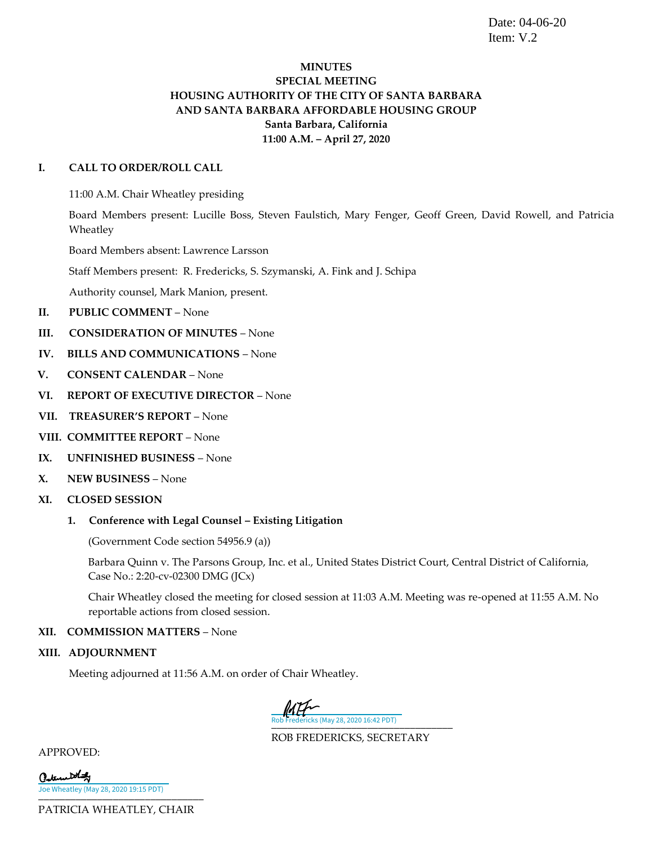Date: 04-06-20 Item: V.2

### **MINUTES SPECIAL MEETING HOUSING AUTHORITY OF THE CITY OF SANTA BARBARA AND SANTA BARBARA AFFORDABLE HOUSING GROUP Santa Barbara, California 11:00 A.M. – April 27, 2020**

#### **I. CALL TO ORDER/ROLL CALL**

11:00 A.M. Chair Wheatley presiding

Board Members present: Lucille Boss, Steven Faulstich, Mary Fenger, Geoff Green, David Rowell, and Patricia Wheatley

Board Members absent: Lawrence Larsson

Staff Members present: R. Fredericks, S. Szymanski, A. Fink and J. Schipa

Authority counsel, Mark Manion, present.

- **II. PUBLIC COMMENT** None
- **III. CONSIDERATION OF MINUTES** None
- **IV. BILLS AND COMMUNICATIONS** None
- **V. CONSENT CALENDAR** None
- **VI. REPORT OF EXECUTIVE DIRECTOR** None
- **VII. TREASURER'S REPORT** None
- **VIII. COMMITTEE REPORT** None
- **IX. UNFINISHED BUSINESS** None
- **X. NEW BUSINESS** None
- **XI. CLOSED SESSION**
	- 1. Conference with Legal Counsel Existing Litigation

(Government Code section 54956.9 (a))

Barbara Quinn v. The Parsons Group, Inc. et al., United States District Court, Central District of California, Case No.: 2:20-cv-02300 DMG (JCx)

Chair Wheatley closed the meeting for closed session at 11:03 A.M. Meeting was re-opened at 11:55 A.M. No reportable actions from closed session.

#### **XII. COMMISSION MATTERS** – None

**XIII. ADJOURNMENT**

Meeting adjourned at 11:56 A.M. on order of Chair Wheatley.

[\\_\\_\\_\\_\\_\\_\\_\\_\\_\\_\\_\\_\\_\\_\\_\\_\\_\\_\\_\\_\\_\\_\\_\\_\\_\\_\\_\\_\\_\\_\\_\\_\\_\\_](https://secure.na2.echosign.com/verifier?tx=CBJCHBCAABAAdE_PKfglod-RODmBgmmdr55ERNjAw3hv) Rob Fredericks (May 28, 2020 16:42 PDT)

ROB FREDERICKS, SECRETARY

APPROVED:

| Caternet that                         |  |
|---------------------------------------|--|
| Joe Wheatley (May 28, 2020 19:15 PDT) |  |

PATRICIA WHEATLEY, CHAIR